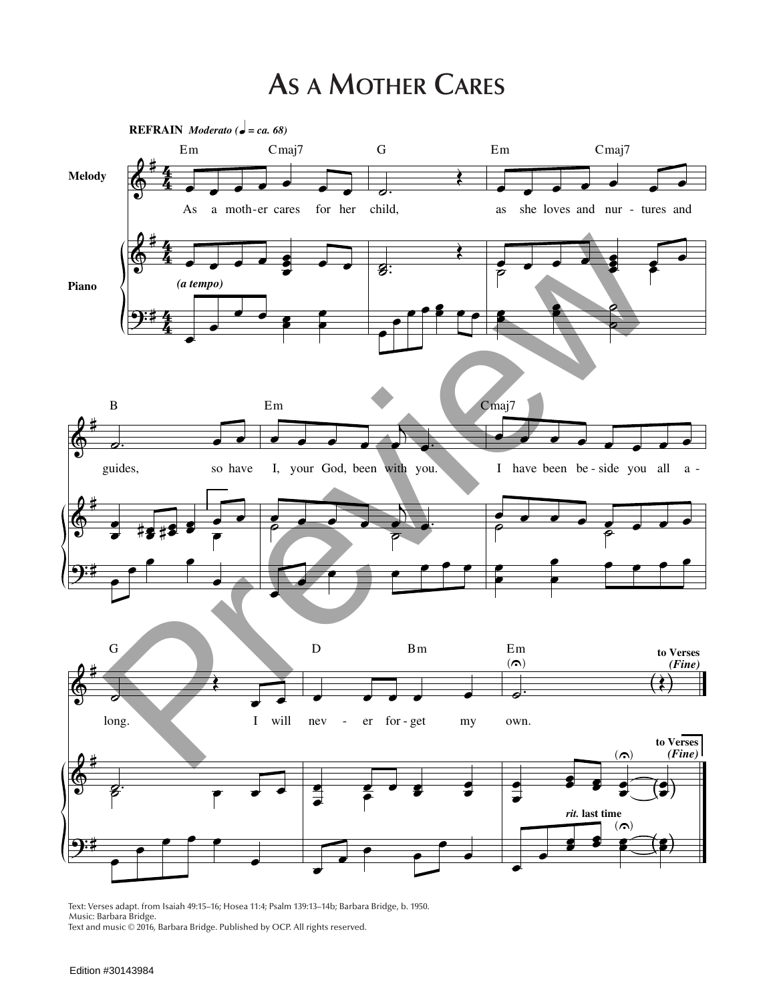## **As a Mother Cares**



Text: Verses adapt. from Isaiah 49:15–16; Hosea 11:4; Psalm 139:13–14b; Barbara Bridge, b. 1950. Music: Barbara Bridge. Text and music © 2016, Barbara Bridge. Published by OCP. All rights reserved.